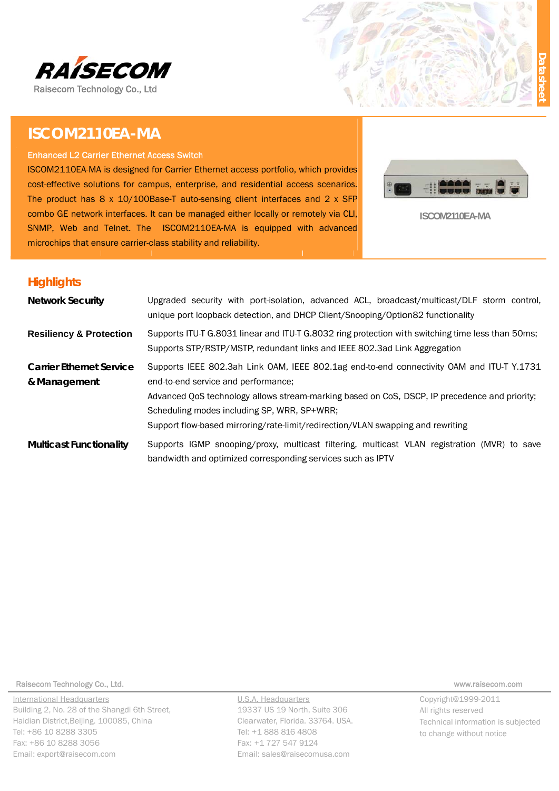

# **ISCOM2110EA-MA**

#### **Enhanced L2 Carrier Ethernet Access Switch**

ISCOM2110EA-MA is designed for Carrier Ethernet access portfolio, which provides cost-effective solutions for campus, enterprise, and residential access scenarios. The product has  $8 \times 10/100$ Base-T auto-sensing client interfaces and  $2 \times$  SFP combo GE network interfaces. It can be managed either locally or remotely via CLI, SNMP, Web and Telnet. The ISCOM2110EA-MA is equipped with advanced microchips that ensure carrier-class stability and reliability.



ISCOM2110EA-MA

### **Highlights**

| <b>Network Security</b>                         | Upgraded security with port-isolation, advanced ACL, broadcast/multicast/DLF storm control,<br>unique port loopback detection, and DHCP Client/Snooping/Option82 functionality                                                                                                                                                                                      |
|-------------------------------------------------|---------------------------------------------------------------------------------------------------------------------------------------------------------------------------------------------------------------------------------------------------------------------------------------------------------------------------------------------------------------------|
| <b>Resiliency &amp; Protection</b>              | Supports ITU-T G.8031 linear and ITU-T G.8032 ring protection with switching time less than 50ms;<br>Supports STP/RSTP/MSTP, redundant links and IEEE 802.3ad Link Aggregation                                                                                                                                                                                      |
| <b>Carrier Ethernet Service</b><br>& Management | Supports IEEE 802.3ah Link OAM, IEEE 802.1ag end-to-end connectivity OAM and ITU-T Y.1731<br>end-to-end service and performance;<br>Advanced QoS technology allows stream-marking based on CoS, DSCP, IP precedence and priority;<br>Scheduling modes including SP, WRR, SP+WRR;<br>Support flow-based mirroring/rate-limit/redirection/VLAN swapping and rewriting |
| <b>Multicast Functionality</b>                  | Supports IGMP snooping/proxy, multicast filtering, multicast VLAN registration (MVR) to save<br>bandwidth and optimized corresponding services such as IPTV                                                                                                                                                                                                         |

Raisecom Technology Co., Ltd.

**International Headquarters** Building 2, No. 28 of the Shangdi 6th Street, Haidian District, Beijing. 100085, China Tel: +86 10 8288 3305 Fax: +86 10 8288 3056 Email: export@raisecom.com

U.S.A. Headquarters 19337 US 19 North, Suite 306 Clearwater, Florida. 33764. USA. Tel: +1 888 816 4808 Fax: +1 727 547 9124 Email: sales@raisecomusa.com

www.raisecom.com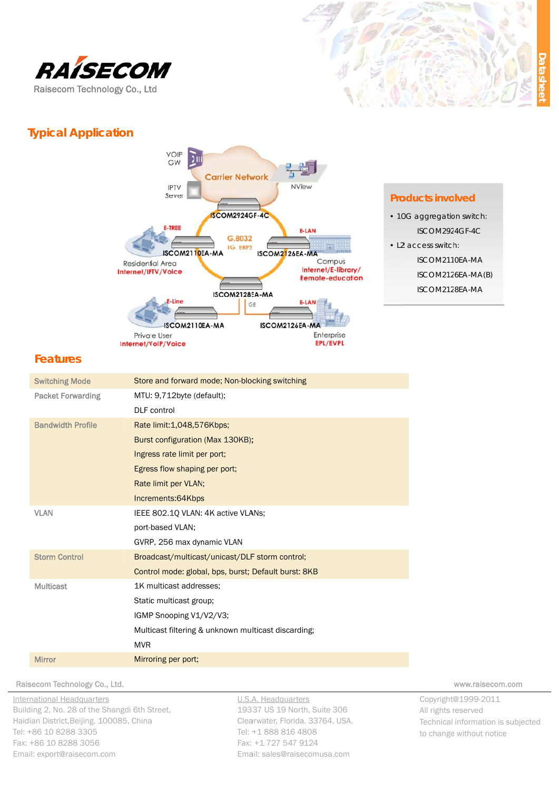





#### **Products involved**

- · 10G aggregation switch: ISCOM2924GF-4C
- L2 access switch: ISCOM2110EA-MA
	- ISCOM2126EA-MA(B)
	- ISCOM2128EA-MA

### **Features**

| <b>Switching Mode</b>    | Store and forward mode; Non-blocking switching       |
|--------------------------|------------------------------------------------------|
| <b>Packet Forwarding</b> | MTU: 9,712byte (default);                            |
|                          | <b>DLF</b> control                                   |
| <b>Bandwidth Profile</b> | Rate limit: 1,048,576Kbps;                           |
|                          | Burst configuration (Max 130KB);                     |
|                          | Ingress rate limit per port;                         |
|                          | Egress flow shaping per port;                        |
|                          | Rate limit per VLAN;                                 |
|                          | Increments:64Kbps                                    |
| <b>VLAN</b>              | IEEE 802.10 VLAN: 4K active VLANs;                   |
|                          | port-based VLAN;                                     |
|                          | GVRP, 256 max dynamic VLAN                           |
| <b>Storm Control</b>     | Broadcast/multicast/unicast/DLF storm control;       |
|                          | Control mode: global, bps, burst; Default burst: 8KB |
| <b>Multicast</b>         | 1K multicast addresses:                              |
|                          | Static multicast group;                              |
|                          | IGMP Snooping V1/V2/V3;                              |
|                          | Multicast filtering & unknown multicast discarding;  |
|                          | <b>MVR</b>                                           |
| <b>Mirror</b>            | Mirroring per port;                                  |
|                          |                                                      |

Raisecom Technology Co., Ltd.

**International Headquarters** Building 2, No. 28 of the Shangdi 6th Street, Haidian District, Beijing. 100085, China Tel: +86 10 8288 3305 Fax: +86 10 8288 3056 Email: export@raisecom.com

U.S.A. Headquarters 19337 US 19 North, Suite 306 Clearwater, Florida. 33764. USA. Tel: +1 888 816 4808 Fax: +1 727 547 9124 Email: sales@raisecomusa.com

www.raisecom.com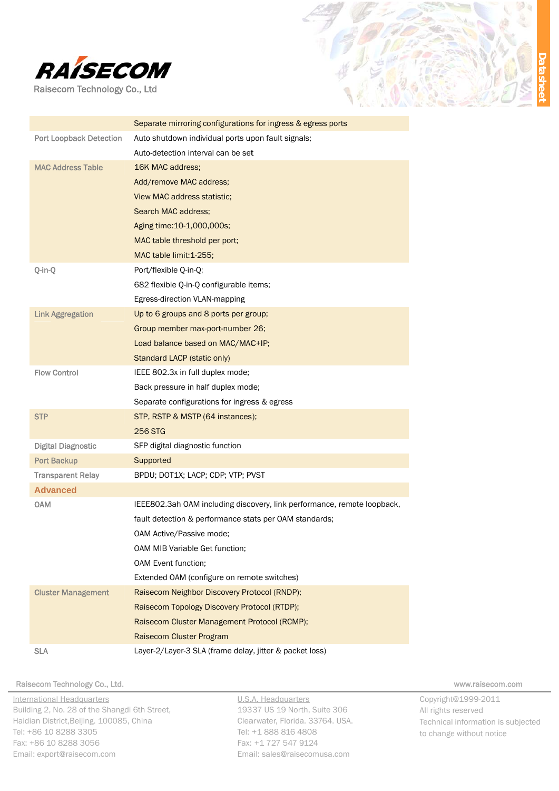

|  | <u>es</u>                   |
|--|-----------------------------|
|  | <b>Service Service</b><br>መ |
|  | ወ                           |

ن (

|                                | Separate mirroring configurations for ingress & egress ports            |
|--------------------------------|-------------------------------------------------------------------------|
| <b>Port Loopback Detection</b> | Auto shutdown individual ports upon fault signals;                      |
|                                | Auto-detection interval can be set                                      |
| <b>MAC Address Table</b>       | 16K MAC address;                                                        |
|                                | Add/remove MAC address;                                                 |
|                                | View MAC address statistic;                                             |
|                                | Search MAC address;                                                     |
|                                | Aging time: 10-1,000,000s;                                              |
|                                | MAC table threshold per port;                                           |
|                                | MAC table limit: 1-255;                                                 |
| Q-in-Q                         | Port/flexible Q-in-Q;                                                   |
|                                | 682 flexible Q-in-Q configurable items;                                 |
|                                | Egress-direction VLAN-mapping                                           |
| <b>Link Aggregation</b>        | Up to 6 groups and 8 ports per group;                                   |
|                                | Group member max-port-number 26;                                        |
|                                | Load balance based on MAC/MAC+IP;                                       |
|                                | Standard LACP (static only)                                             |
| <b>Flow Control</b>            | IEEE 802.3x in full duplex mode;                                        |
|                                | Back pressure in half duplex mode;                                      |
|                                | Separate configurations for ingress & egress                            |
| <b>STP</b>                     | STP, RSTP & MSTP (64 instances);                                        |
|                                | <b>256 STG</b>                                                          |
| <b>Digital Diagnostic</b>      | SFP digital diagnostic function                                         |
| <b>Port Backup</b>             | Supported                                                               |
| <b>Transparent Relay</b>       | BPDU; DOT1X; LACP; CDP; VTP; PVST                                       |
| <b>Advanced</b>                |                                                                         |
| <b>OAM</b>                     | IEEE802.3ah OAM including discovery, link performance, remote loopback, |
|                                | fault detection & performance stats per OAM standards;                  |
|                                | OAM Active/Passive mode;                                                |
|                                | OAM MIB Variable Get function;                                          |
|                                | OAM Event function;                                                     |
|                                | Extended OAM (configure on remote switches)                             |
| <b>Cluster Management</b>      | Raisecom Neighbor Discovery Protocol (RNDP);                            |
|                                | Raisecom Topology Discovery Protocol (RTDP);                            |
|                                | Raisecom Cluster Management Protocol (RCMP);                            |
|                                | Raisecom Cluster Program                                                |
| <b>SLA</b>                     | Layer-2/Layer-3 SLA (frame delay, jitter & packet loss)                 |

Raisecom Technology Co., Ltd.

International Headquarters Building 2, No. 28 of the Shangdi 6th Street, Haidian District, Beijing. 100085, China Tel: +86 10 8288 3305 Fax: +86 10 8288 3056 Email: export@raisecom.com

U.S.A. Headquarters 19337 US 19 North, Suite 306 Clearwater, Florida. 33764. USA. Tel: +1 888 816 4808 Fax: +1 727 547 9124 Email: sales@raisecomusa.com

www.raisecom.com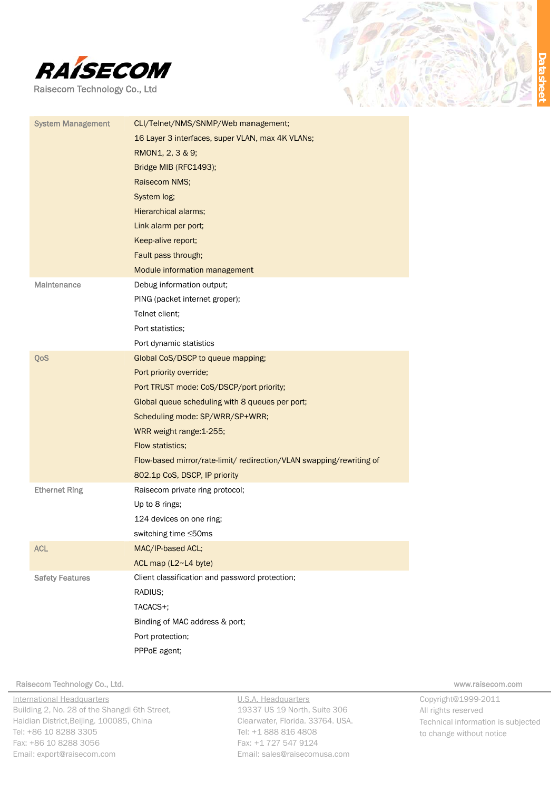



| <b>System Management</b> | CLI/Telnet/NMS/SNMP/Web management;                                  |
|--------------------------|----------------------------------------------------------------------|
|                          | 16 Layer 3 interfaces, super VLAN, max 4K VLANs;                     |
|                          | RMON1, 2, 3 & 9;                                                     |
|                          | Bridge MIB (RFC1493);                                                |
|                          | Raisecom NMS:                                                        |
|                          | System log;                                                          |
|                          | Hierarchical alarms;                                                 |
|                          | Link alarm per port;                                                 |
|                          | Keep-alive report;                                                   |
|                          | Fault pass through;                                                  |
|                          | Module information management                                        |
| <b>Maintenance</b>       | Debug information output;                                            |
|                          | PING (packet internet groper);                                       |
|                          | Telnet client;                                                       |
|                          | Port statistics;                                                     |
|                          | Port dynamic statistics                                              |
| QoS                      | Global CoS/DSCP to queue mapping;                                    |
|                          | Port priority override;                                              |
|                          | Port TRUST mode: CoS/DSCP/port priority;                             |
|                          | Global queue scheduling with 8 queues per port;                      |
|                          | Scheduling mode: SP/WRR/SP+WRR;                                      |
|                          | WRR weight range: 1-255;                                             |
|                          | Flow statistics;                                                     |
|                          | Flow-based mirror/rate-limit/ redirection/VLAN swapping/rewriting of |
|                          | 802.1p CoS, DSCP, IP priority                                        |
| <b>Ethernet Ring</b>     | Raisecom private ring protocol;                                      |
|                          | Up to 8 rings;                                                       |
|                          | 124 devices on one ring;                                             |
|                          | switching time ≤50ms                                                 |
| <b>ACL</b>               | MAC/IP-based ACL;                                                    |
|                          | ACL map (L2~L4 byte)                                                 |
| <b>Safety Features</b>   | Client classification and password protection;                       |
|                          | RADIUS;                                                              |
|                          | TACACS+;                                                             |
|                          | Binding of MAC address & port;                                       |
|                          | Port protection;                                                     |
|                          | PPPoF agent:                                                         |

Raisecom Technology Co., Ltd.

International Headquarters Building 2, No. 28 of the Shangdi 6th Street, Haidian District, Beijing. 100085, China Tel: +86 10 8288 3305 Fax: +86 10 8288 3056 Email: export@raisecom.com

U.S.A. Headquarters 19337 US 19 North, Suite 306 Clearwater, Florida. 33764. USA. Tel: +1 888 816 4808 Fax: +1 727 547 9124 Email: sales@raisecomusa.com

www.raisecom.com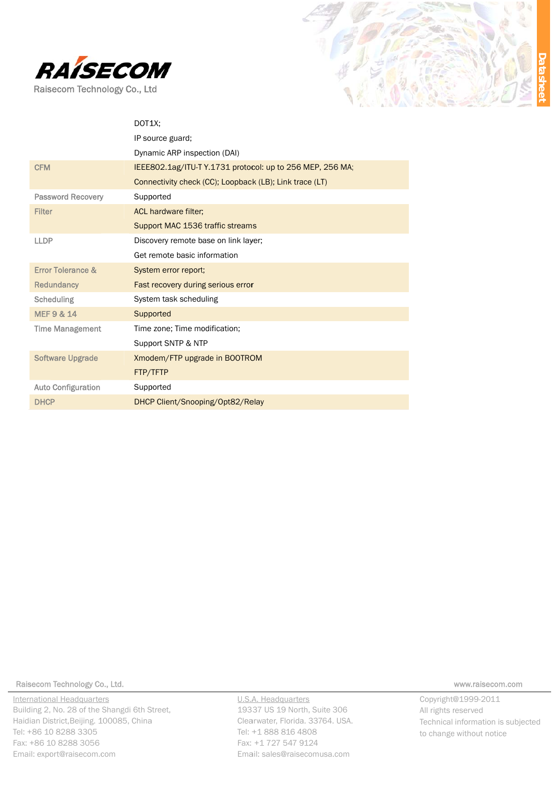



|                              | DOT1X:                                                    |
|------------------------------|-----------------------------------------------------------|
|                              | IP source guard;                                          |
|                              | Dynamic ARP inspection (DAI)                              |
| <b>CFM</b>                   | IEEE802.1ag/ITU-T Y.1731 protocol: up to 256 MEP, 256 MA; |
|                              | Connectivity check (CC); Loopback (LB); Link trace (LT)   |
| <b>Password Recovery</b>     | Supported                                                 |
| <b>Filter</b>                | <b>ACL hardware filter;</b>                               |
|                              | Support MAC 1536 traffic streams                          |
| <b>LLDP</b>                  | Discovery remote base on link layer;                      |
|                              | Get remote basic information                              |
| <b>Error Tolerance &amp;</b> | System error report;                                      |
| <b>Redundancy</b>            | Fast recovery during serious error                        |
| <b>Scheduling</b>            | System task scheduling                                    |
| <b>MEF 9 &amp; 14</b>        | Supported                                                 |
| <b>Time Management</b>       | Time zone; Time modification;                             |
|                              | Support SNTP & NTP                                        |
| <b>Software Upgrade</b>      | Xmodem/FTP upgrade in BOOTROM                             |
|                              | FTP/TFTP                                                  |
| <b>Auto Configuration</b>    | Supported                                                 |
| <b>DHCP</b>                  | DHCP Client/Snooping/Opt82/Relay                          |
|                              |                                                           |

Raisecom Technology Co., Ltd.

International Headquarters Building 2, No. 28 of the Shangdi 6th Street, Haidian District, Beijing. 100085, China Tel: +86 10 8288 3305 Fax: +86 10 8288 3056 Email: export@raisecom.com

U.S.A. Headquarters 19337 US 19 North, Suite 306 Clearwater, Florida. 33764. USA. Tel: +1 888 816 4808 Fax: +1 727 547 9124 Email: sales@raisecomusa.com

www.raisecom.com